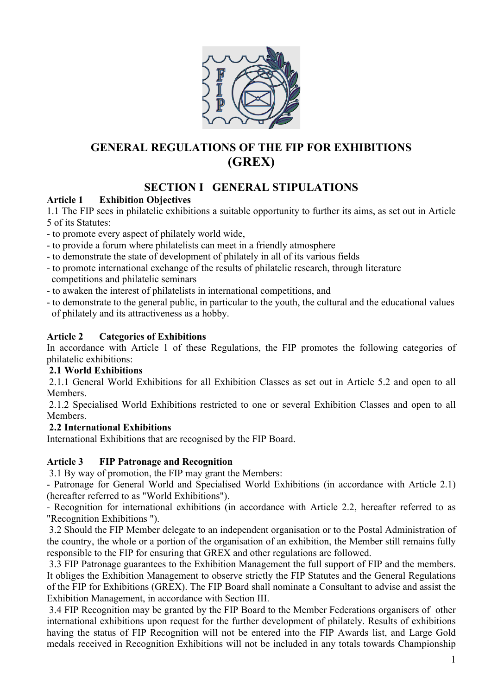

# **GENERAL REGULATIONS OF THE FIP FOR EXHIBITIONS (GREX)**

# **SECTION I GENERAL STIPULATIONS**

# **Article 1 Exhibition Objectives**

1.1 The FIP sees in philatelic exhibitions a suitable opportunity to further its aims, as set out in Article 5 of its Statutes:

- to promote every aspect of philately world wide,

- to provide a forum where philatelists can meet in a friendly atmosphere
- to demonstrate the state of development of philately in all of its various fields
- to promote international exchange of the results of philatelic research, through literature competitions and philatelic seminars
- to awaken the interest of philatelists in international competitions, and
- to demonstrate to the general public, in particular to the youth, the cultural and the educational values of philately and its attractiveness as a hobby.

## **Article 2 Categories of Exhibitions**

In accordance with Article 1 of these Regulations, the FIP promotes the following categories of philatelic exhibitions:

# **2.1 World Exhibitions**

2.1.1 General World Exhibitions for all Exhibition Classes as set out in Article 5.2 and open to all Members.

2.1.2 Specialised World Exhibitions restricted to one or several Exhibition Classes and open to all Members.

# **2.2 International Exhibitions**

International Exhibitions that are recognised by the FIP Board.

# **Article 3 FIP Patronage and Recognition**

3.1 By way of promotion, the FIP may grant the Members:

- Patronage for General World and Specialised World Exhibitions (in accordance with Article 2.1) (hereafter referred to as "World Exhibitions").

- Recognition for international exhibitions (in accordance with Article 2.2, hereafter referred to as "Recognition Exhibitions ").

3.2 Should the FIP Member delegate to an independent organisation or to the Postal Administration of the country, the whole or a portion of the organisation of an exhibition, the Member still remains fully responsible to the FIP for ensuring that GREX and other regulations are followed.

3.3 FIP Patronage guarantees to the Exhibition Management the full support of FIP and the members. It obliges the Exhibition Management to observe strictly the FIP Statutes and the General Regulations of the FIP for Exhibitions (GREX). The FIP Board shall nominate a Consultant to advise and assist the Exhibition Management, in accordance with Section III.

3.4 FIP Recognition may be granted by the FIP Board to the Member Federations organisers of other international exhibitions upon request for the further development of philately. Results of exhibitions having the status of FIP Recognition will not be entered into the FIP Awards list, and Large Gold medals received in Recognition Exhibitions will not be included in any totals towards Championship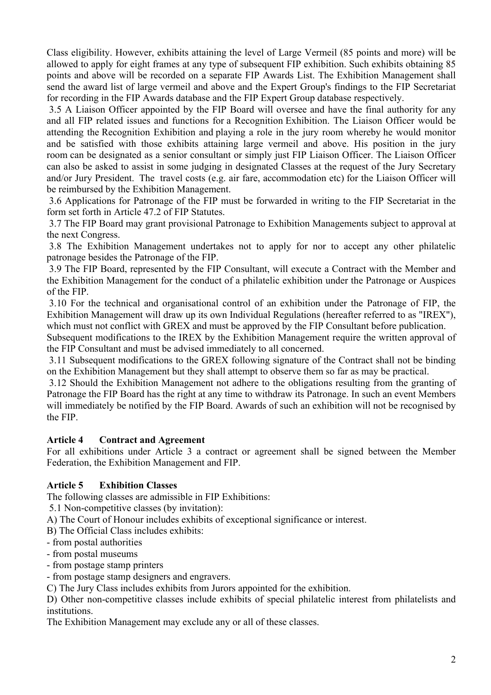Class eligibility. However, exhibits attaining the level of Large Vermeil (85 points and more) will be allowed to apply for eight frames at any type of subsequent FIP exhibition. Such exhibits obtaining 85 points and above will be recorded on a separate FIP Awards List. The Exhibition Management shall send the award list of large vermeil and above and the Expert Group's findings to the FIP Secretariat for recording in the FIP Awards database and the FIP Expert Group database respectively.

3.5 A Liaison Officer appointed by the FIP Board will oversee and have the final authority for any and all FIP related issues and functions for a Recognition Exhibition. The Liaison Officer would be attending the Recognition Exhibition and playing a role in the jury room whereby he would monitor and be satisfied with those exhibits attaining large vermeil and above. His position in the jury room can be designated as a senior consultant or simply just FIP Liaison Officer. The Liaison Officer can also be asked to assist in some judging in designated Classes at the request of the Jury Secretary and/or Jury President. The travel costs (e.g. air fare, accommodation etc) for the Liaison Officer will be reimbursed by the Exhibition Management.

3.6 Applications for Patronage of the FIP must be forwarded in writing to the FIP Secretariat in the form set forth in Article 47.2 of FIP Statutes.

3.7 The FIP Board may grant provisional Patronage to Exhibition Managements subject to approval at the next Congress.

3.8 The Exhibition Management undertakes not to apply for nor to accept any other philatelic patronage besides the Patronage of the FIP.

3.9 The FIP Board, represented by the FIP Consultant, will execute a Contract with the Member and the Exhibition Management for the conduct of a philatelic exhibition under the Patronage or Auspices of the FIP.

3.10 For the technical and organisational control of an exhibition under the Patronage of FIP, the Exhibition Management will draw up its own Individual Regulations (hereafter referred to as "IREX"), which must not conflict with GREX and must be approved by the FIP Consultant before publication.

Subsequent modifications to the IREX by the Exhibition Management require the written approval of the FIP Consultant and must be advised immediately to all concerned.

3.11 Subsequent modifications to the GREX following signature of the Contract shall not be binding on the Exhibition Management but they shall attempt to observe them so far as may be practical.

3.12 Should the Exhibition Management not adhere to the obligations resulting from the granting of Patronage the FIP Board has the right at any time to withdraw its Patronage. In such an event Members will immediately be notified by the FIP Board. Awards of such an exhibition will not be recognised by the FIP.

#### **Article 4 Contract and Agreement**

For all exhibitions under Article 3 a contract or agreement shall be signed between the Member Federation, the Exhibition Management and FIP.

# **Article 5 Exhibition Classes**

The following classes are admissible in FIP Exhibitions:

5.1 Non-competitive classes (by invitation):

A) The Court of Honour includes exhibits of exceptional significance or interest.

B) The Official Class includes exhibits:

- from postal authorities
- from postal museums

- from postage stamp printers

- from postage stamp designers and engravers.

C) The Jury Class includes exhibits from Jurors appointed for the exhibition.

D) Other non-competitive classes include exhibits of special philatelic interest from philatelists and institutions.

The Exhibition Management may exclude any or all of these classes.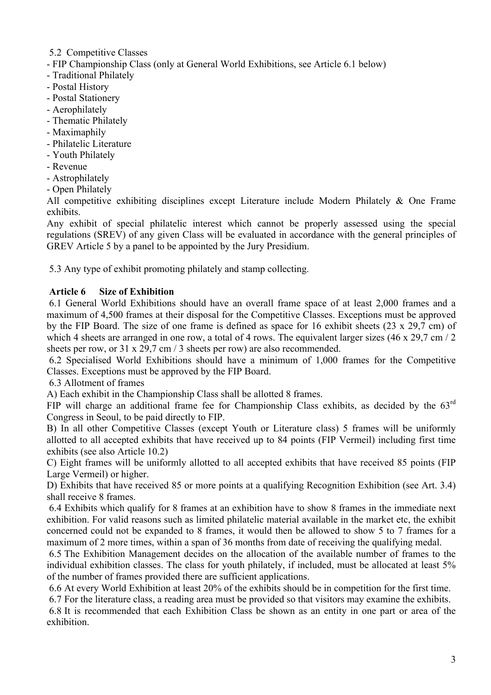- 5.2 Competitive Classes
- FIP Championship Class (only at General World Exhibitions, see Article 6.1 below)
- Traditional Philately
- Postal History
- Postal Stationery
- Aerophilately
- Thematic Philately
- Maximaphily
- Philatelic Literature
- Youth Philately
- Revenue
- Astrophilately
- Open Philately

All competitive exhibiting disciplines except Literature include Modern Philately & One Frame exhibits.

Any exhibit of special philatelic interest which cannot be properly assessed using the special regulations (SREV) of any given Class will be evaluated in accordance with the general principles of GREV Article 5 by a panel to be appointed by the Jury Presidium.

5.3 Any type of exhibit promoting philately and stamp collecting.

#### **Article 6 Size of Exhibition**

6.1 General World Exhibitions should have an overall frame space of at least 2,000 frames and a maximum of 4,500 frames at their disposal for the Competitive Classes. Exceptions must be approved by the FIP Board. The size of one frame is defined as space for 16 exhibit sheets (23 x 29,7 cm) of which 4 sheets are arranged in one row, a total of 4 rows. The equivalent larger sizes (46 x 29,7 cm / 2) sheets per row, or 31 x 29,7 cm / 3 sheets per row) are also recommended.

6.2 Specialised World Exhibitions should have a minimum of 1,000 frames for the Competitive Classes. Exceptions must be approved by the FIP Board.

6.3 Allotment of frames

A) Each exhibit in the Championship Class shall be allotted 8 frames.

FIP will charge an additional frame fee for Championship Class exhibits, as decided by the 63<sup>rd</sup> Congress in Seoul, to be paid directly to FIP.

B) In all other Competitive Classes (except Youth or Literature class) 5 frames will be uniformly allotted to all accepted exhibits that have received up to 84 points (FIP Vermeil) including first time exhibits (see also Article 10.2)

C) Eight frames will be uniformly allotted to all accepted exhibits that have received 85 points (FIP Large Vermeil) or higher.

D) Exhibits that have received 85 or more points at a qualifying Recognition Exhibition (see Art. 3.4) shall receive 8 frames.

6.4 Exhibits which qualify for 8 frames at an exhibition have to show 8 frames in the immediate next exhibition. For valid reasons such as limited philatelic material available in the market etc, the exhibit concerned could not be expanded to 8 frames, it would then be allowed to show 5 to 7 frames for a maximum of 2 more times, within a span of 36 months from date of receiving the qualifying medal.

6.5 The Exhibition Management decides on the allocation of the available number of frames to the individual exhibition classes. The class for youth philately, if included, must be allocated at least 5% of the number of frames provided there are sufficient applications.

6.6 At every World Exhibition at least 20% of the exhibits should be in competition for the first time.

6.7 For the literature class, a reading area must be provided so that visitors may examine the exhibits.

6.8 It is recommended that each Exhibition Class be shown as an entity in one part or area of the exhibition.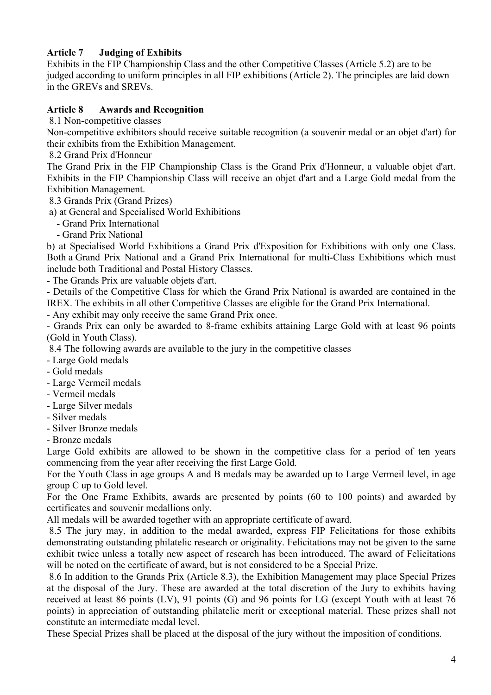# **Article 7 Judging of Exhibits**

Exhibits in the FIP Championship Class and the other Competitive Classes (Article 5.2) are to be judged according to uniform principles in all FIP exhibitions (Article 2). The principles are laid down in the GREVs and SREVs.

## **Article 8 Awards and Recognition**

8.1 Non-competitive classes

Non-competitive exhibitors should receive suitable recognition (a souvenir medal or an objet d'art) for their exhibits from the Exhibition Management.

8.2 Grand Prix d'Honneur

The Grand Prix in the FIP Championship Class is the Grand Prix d'Honneur, a valuable objet d'art. Exhibits in the FIP Championship Class will receive an objet d'art and a Large Gold medal from the Exhibition Management.

8.3 Grands Prix (Grand Prizes)

a) at General and Specialised World Exhibitions

- Grand Prix International

- Grand Prix National

b) at Specialised World Exhibitions a Grand Prix d'Exposition for Exhibitions with only one Class. Both a Grand Prix National and a Grand Prix International for multi-Class Exhibitions which must include both Traditional and Postal History Classes.

- The Grands Prix are valuable objets d'art.

- Details of the Competitive Class for which the Grand Prix National is awarded are contained in the IREX. The exhibits in all other Competitive Classes are eligible for the Grand Prix International.

- Any exhibit may only receive the same Grand Prix once.

- Grands Prix can only be awarded to 8-frame exhibits attaining Large Gold with at least 96 points (Gold in Youth Class).

8.4 The following awards are available to the jury in the competitive classes

- Large Gold medals

- Gold medals

- Large Vermeil medals

- Vermeil medals
- Large Silver medals
- Silver medals
- Silver Bronze medals
- Bronze medals

Large Gold exhibits are allowed to be shown in the competitive class for a period of ten years commencing from the year after receiving the first Large Gold.

For the Youth Class in age groups A and B medals may be awarded up to Large Vermeil level, in age group C up to Gold level.

For the One Frame Exhibits, awards are presented by points (60 to 100 points) and awarded by certificates and souvenir medallions only.

All medals will be awarded together with an appropriate certificate of award.

8.5 The jury may, in addition to the medal awarded, express FIP Felicitations for those exhibits demonstrating outstanding philatelic research or originality. Felicitations may not be given to the same exhibit twice unless a totally new aspect of research has been introduced. The award of Felicitations will be noted on the certificate of award, but is not considered to be a Special Prize.

8.6 In addition to the Grands Prix (Article 8.3), the Exhibition Management may place Special Prizes at the disposal of the Jury. These are awarded at the total discretion of the Jury to exhibits having received at least 86 points (LV), 91 points (G) and 96 points for LG (except Youth with at least 76 points) in appreciation of outstanding philatelic merit or exceptional material. These prizes shall not constitute an intermediate medal level.

These Special Prizes shall be placed at the disposal of the jury without the imposition of conditions.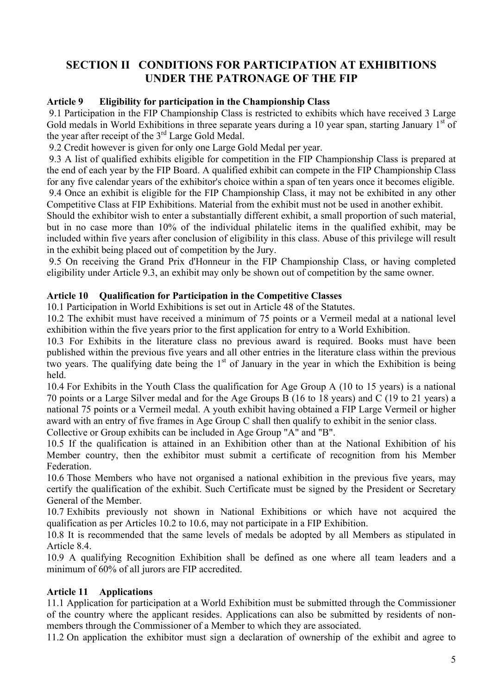# **SECTION II CONDITIONS FOR PARTICIPATION AT EXHIBITIONS UNDER THE PATRONAGE OF THE FIP**

#### **Article 9 Eligibility for participation in the Championship Class**

9.1 Participation in the FIP Championship Class is restricted to exhibits which have received 3 Large Gold medals in World Exhibitions in three separate years during a 10 year span, starting January  $1<sup>st</sup>$  of the year after receipt of the 3rd Large Gold Medal.

9.2 Credit however is given for only one Large Gold Medal per year.

9.3 A list of qualified exhibits eligible for competition in the FIP Championship Class is prepared at the end of each year by the FIP Board. A qualified exhibit can compete in the FIP Championship Class for any five calendar years of the exhibitor's choice within a span of ten years once it becomes eligible. 9.4 Once an exhibit is eligible for the FIP Championship Class, it may not be exhibited in any other

Competitive Class at FIP Exhibitions. Material from the exhibit must not be used in another exhibit.

Should the exhibitor wish to enter a substantially different exhibit, a small proportion of such material, but in no case more than 10% of the individual philatelic items in the qualified exhibit, may be included within five years after conclusion of eligibility in this class. Abuse of this privilege will result in the exhibit being placed out of competition by the Jury.

9.5 On receiving the Grand Prix d'Honneur in the FIP Championship Class, or having completed eligibility under Article 9.3, an exhibit may only be shown out of competition by the same owner.

## **Article 10 Qualification for Participation in the Competitive Classes**

10.1 Participation in World Exhibitions is set out in Article 48 of the Statutes.

10.2 The exhibit must have received a minimum of 75 points or a Vermeil medal at a national level exhibition within the five years prior to the first application for entry to a World Exhibition.

10.3 For Exhibits in the literature class no previous award is required. Books must have been published within the previous five years and all other entries in the literature class within the previous two years. The qualifying date being the  $1<sup>st</sup>$  of January in the year in which the Exhibition is being held.

10.4 For Exhibits in the Youth Class the qualification for Age Group A (10 to 15 years) is a national 70 points or a Large Silver medal and for the Age Groups B (16 to 18 years) and C (19 to 21 years) a national 75 points or a Vermeil medal. A youth exhibit having obtained a FIP Large Vermeil or higher award with an entry of five frames in Age Group C shall then qualify to exhibit in the senior class. Collective or Group exhibits can be included in Age Group "A" and "B".

10.5 If the qualification is attained in an Exhibition other than at the National Exhibition of his Member country, then the exhibitor must submit a certificate of recognition from his Member Federation.

10.6 Those Members who have not organised a national exhibition in the previous five years, may certify the qualification of the exhibit. Such Certificate must be signed by the President or Secretary General of the Member.

10.7 Exhibits previously not shown in National Exhibitions or which have not acquired the qualification as per Articles 10.2 to 10.6, may not participate in a FIP Exhibition.

10.8 It is recommended that the same levels of medals be adopted by all Members as stipulated in Article 8.4.

10.9 A qualifying Recognition Exhibition shall be defined as one where all team leaders and a minimum of 60% of all jurors are FIP accredited.

# **Article 11 Applications**

11.1 Application for participation at a World Exhibition must be submitted through the Commissioner of the country where the applicant resides. Applications can also be submitted by residents of nonmembers through the Commissioner of a Member to which they are associated.

11.2 On application the exhibitor must sign a declaration of ownership of the exhibit and agree to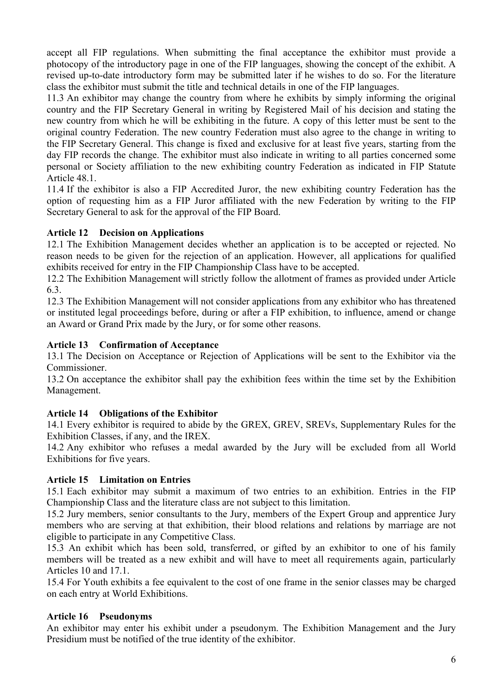accept all FIP regulations. When submitting the final acceptance the exhibitor must provide a photocopy of the introductory page in one of the FIP languages, showing the concept of the exhibit. A revised up-to-date introductory form may be submitted later if he wishes to do so. For the literature class the exhibitor must submit the title and technical details in one of the FIP languages.

11.3 An exhibitor may change the country from where he exhibits by simply informing the original country and the FIP Secretary General in writing by Registered Mail of his decision and stating the new country from which he will be exhibiting in the future. A copy of this letter must be sent to the original country Federation. The new country Federation must also agree to the change in writing to the FIP Secretary General. This change is fixed and exclusive for at least five years, starting from the day FIP records the change. The exhibitor must also indicate in writing to all parties concerned some personal or Society affiliation to the new exhibiting country Federation as indicated in FIP Statute Article 48.1.

11.4 If the exhibitor is also a FIP Accredited Juror, the new exhibiting country Federation has the option of requesting him as a FIP Juror affiliated with the new Federation by writing to the FIP Secretary General to ask for the approval of the FIP Board.

## **Article 12 Decision on Applications**

12.1 The Exhibition Management decides whether an application is to be accepted or rejected. No reason needs to be given for the rejection of an application. However, all applications for qualified exhibits received for entry in the FIP Championship Class have to be accepted.

12.2 The Exhibition Management will strictly follow the allotment of frames as provided under Article 6.3.

12.3 The Exhibition Management will not consider applications from any exhibitor who has threatened or instituted legal proceedings before, during or after a FIP exhibition, to influence, amend or change an Award or Grand Prix made by the Jury, or for some other reasons.

#### **Article 13 Confirmation of Acceptance**

13.1 The Decision on Acceptance or Rejection of Applications will be sent to the Exhibitor via the Commissioner.

13.2 On acceptance the exhibitor shall pay the exhibition fees within the time set by the Exhibition Management.

#### **Article 14 Obligations of the Exhibitor**

14.1 Every exhibitor is required to abide by the GREX, GREV, SREVs, Supplementary Rules for the Exhibition Classes, if any, and the IREX.

14.2 Any exhibitor who refuses a medal awarded by the Jury will be excluded from all World Exhibitions for five years.

#### **Article 15 Limitation on Entries**

15.1 Each exhibitor may submit a maximum of two entries to an exhibition. Entries in the FIP Championship Class and the literature class are not subject to this limitation.

15.2 Jury members, senior consultants to the Jury, members of the Expert Group and apprentice Jury members who are serving at that exhibition, their blood relations and relations by marriage are not eligible to participate in any Competitive Class.

15.3 An exhibit which has been sold, transferred, or gifted by an exhibitor to one of his family members will be treated as a new exhibit and will have to meet all requirements again, particularly Articles 10 and 17.1.

15.4 For Youth exhibits a fee equivalent to the cost of one frame in the senior classes may be charged on each entry at World Exhibitions.

#### **Article 16 Pseudonyms**

An exhibitor may enter his exhibit under a pseudonym. The Exhibition Management and the Jury Presidium must be notified of the true identity of the exhibitor.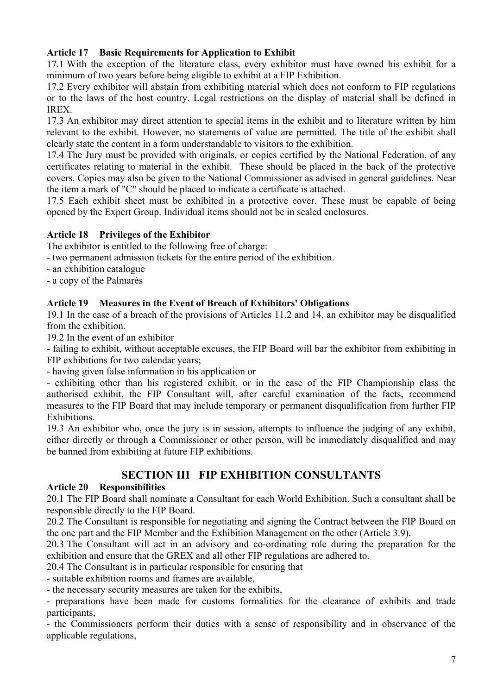# **Article 17 Basic Requirements for Application to Exhibit**

17.1 With the exception of the literature class, every exhibitor must have owned his exhibit for a minimum of two years before being eligible to exhibit at a FIP Exhibition.

17.2 Every exhibitor will abstain from exhibiting material which does not conform to FIP regulations or to the laws of the host country. Legal restrictions on the display of material shall be defined in **IREX** 

17.3 An exhibitor may direct attention to special items in the exhibit and to literature written by him relevant to the exhibit. However, no statements of value are permitted. The title of the exhibit shall clearly state the content in a form understandable to visitors to the exhibition.

17.4 The Jury must be provided with originals, or copies certified by the National Federation, of any certificates relating to material in the exhibit. These should be placed in the back of the protective covers. Copies may also be given to the National Commissioner as advised in general guidelines. Near the item a mark of "C" should be placed to indicate a certificate is attached.

17.5 Each exhibit sheet must be exhibited in a protective cover. These must be capable of being opened by the Expert Group. Individual items should not be in sealed enclosures.

# **Article 18 Privileges of the Exhibitor**

The exhibitor is entitled to the following free of charge:

- two permanent admission tickets for the entire period of the exhibition.

- an exhibition catalogue
- a copy of the Palmarès

# **Article 19 Measures in the Event of Breach of Exhibitors' Obligations**

19.1 In the case of a breach of the provisions of Articles 11.2 and 14, an exhibitor may be disqualified from the exhibition.

19.2 In the event of an exhibitor

- failing to exhibit, without acceptable excuses, the FIP Board will bar the exhibitor from exhibiting in FIP exhibitions for two calendar years;

- having given false information in his application or

- exhibiting other than his registered exhibit, or in the case of the FIP Championship class the authorised exhibit, the FIP Consultant will, after careful examination of the facts, recommend measures to the FIP Board that may include temporary or permanent disqualification from further FIP Exhibitions.

19.3 An exhibitor who, once the jury is in session, attempts to influence the judging of any exhibit, either directly or through a Commissioner or other person, will be immediately disqualified and may be banned from exhibiting at future FIP exhibitions.

# **SECTION III FIP EXHIBITION CONSULTANTS**

# **Article 20 Responsibilities**

20.1 The FIP Board shall nominate a Consultant for each World Exhibition. Such a consultant shall be responsible directly to the FIP Board.

20.2 The Consultant is responsible for negotiating and signing the Contract between the FIP Board on the one part and the FIP Member and the Exhibition Management on the other (Article 3.9).

20.3 The Consultant will act in an advisory and co-ordinating role during the preparation for the exhibition and ensure that the GREX and all other FIP regulations are adhered to.

20.4 The Consultant is in particular responsible for ensuring that

- suitable exhibition rooms and frames are available,

- the necessary security measures are taken for the exhibits,

- preparations have been made for customs formalities for the clearance of exhibits and trade participants,

- the Commissioners perform their duties with a sense of responsibility and in observance of the applicable regulations,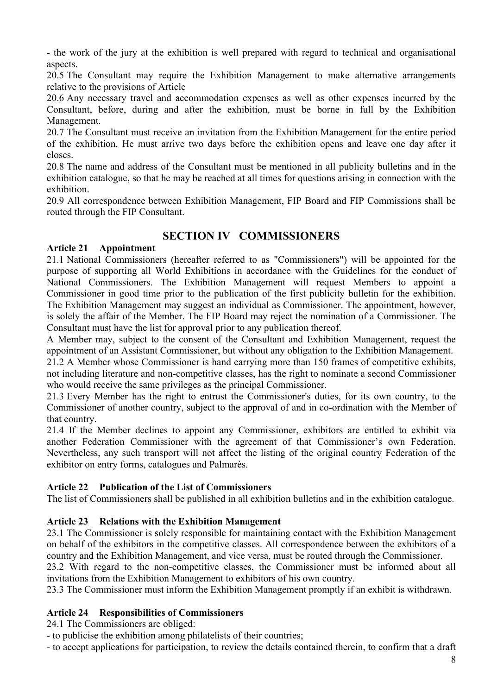- the work of the jury at the exhibition is well prepared with regard to technical and organisational aspects.

20.5 The Consultant may require the Exhibition Management to make alternative arrangements relative to the provisions of Article

20.6 Any necessary travel and accommodation expenses as well as other expenses incurred by the Consultant, before, during and after the exhibition, must be borne in full by the Exhibition Management.

20.7 The Consultant must receive an invitation from the Exhibition Management for the entire period of the exhibition. He must arrive two days before the exhibition opens and leave one day after it closes.

20.8 The name and address of the Consultant must be mentioned in all publicity bulletins and in the exhibition catalogue, so that he may be reached at all times for questions arising in connection with the exhibition.

20.9 All correspondence between Exhibition Management, FIP Board and FIP Commissions shall be routed through the FIP Consultant.

# **SECTION IV COMMISSIONERS**

## **Article 21 Appointment**

21.1 National Commissioners (hereafter referred to as "Commissioners") will be appointed for the purpose of supporting all World Exhibitions in accordance with the Guidelines for the conduct of National Commissioners. The Exhibition Management will request Members to appoint a Commissioner in good time prior to the publication of the first publicity bulletin for the exhibition. The Exhibition Management may suggest an individual as Commissioner. The appointment, however, is solely the affair of the Member. The FIP Board may reject the nomination of a Commissioner. The Consultant must have the list for approval prior to any publication thereof.

A Member may, subject to the consent of the Consultant and Exhibition Management, request the appointment of an Assistant Commissioner, but without any obligation to the Exhibition Management.

21.2 A Member whose Commissioner is hand carrying more than 150 frames of competitive exhibits, not including literature and non-competitive classes, has the right to nominate a second Commissioner who would receive the same privileges as the principal Commissioner.

21.3 Every Member has the right to entrust the Commissioner's duties, for its own country, to the Commissioner of another country, subject to the approval of and in co-ordination with the Member of that country.

21.4 If the Member declines to appoint any Commissioner, exhibitors are entitled to exhibit via another Federation Commissioner with the agreement of that Commissioner's own Federation. Nevertheless, any such transport will not affect the listing of the original country Federation of the exhibitor on entry forms, catalogues and Palmarès.

#### **Article 22 Publication of the List of Commissioners**

The list of Commissioners shall be published in all exhibition bulletins and in the exhibition catalogue.

# **Article 23 Relations with the Exhibition Management**

23.1 The Commissioner is solely responsible for maintaining contact with the Exhibition Management on behalf of the exhibitors in the competitive classes. All correspondence between the exhibitors of a country and the Exhibition Management, and vice versa, must be routed through the Commissioner.

23.2 With regard to the non-competitive classes, the Commissioner must be informed about all invitations from the Exhibition Management to exhibitors of his own country.

23.3 The Commissioner must inform the Exhibition Management promptly if an exhibit is withdrawn.

# **Article 24 Responsibilities of Commissioners**

24.1 The Commissioners are obliged:

- to publicise the exhibition among philatelists of their countries;

- to accept applications for participation, to review the details contained therein, to confirm that a draft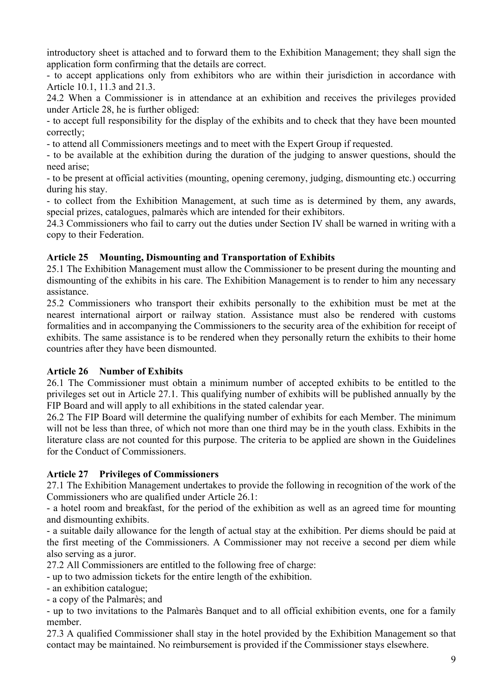introductory sheet is attached and to forward them to the Exhibition Management; they shall sign the application form confirming that the details are correct.

- to accept applications only from exhibitors who are within their jurisdiction in accordance with Article 10.1, 11.3 and 21.3.

24.2 When a Commissioner is in attendance at an exhibition and receives the privileges provided under Article 28, he is further obliged:

- to accept full responsibility for the display of the exhibits and to check that they have been mounted correctly;

- to attend all Commissioners meetings and to meet with the Expert Group if requested.

- to be available at the exhibition during the duration of the judging to answer questions, should the need arise;

- to be present at official activities (mounting, opening ceremony, judging, dismounting etc.) occurring during his stay.

- to collect from the Exhibition Management, at such time as is determined by them, any awards, special prizes, catalogues, palmarès which are intended for their exhibitors.

24.3 Commissioners who fail to carry out the duties under Section IV shall be warned in writing with a copy to their Federation.

## **Article 25 Mounting, Dismounting and Transportation of Exhibits**

25.1 The Exhibition Management must allow the Commissioner to be present during the mounting and dismounting of the exhibits in his care. The Exhibition Management is to render to him any necessary assistance.

25.2 Commissioners who transport their exhibits personally to the exhibition must be met at the nearest international airport or railway station. Assistance must also be rendered with customs formalities and in accompanying the Commissioners to the security area of the exhibition for receipt of exhibits. The same assistance is to be rendered when they personally return the exhibits to their home countries after they have been dismounted.

#### **Article 26 Number of Exhibits**

26.1 The Commissioner must obtain a minimum number of accepted exhibits to be entitled to the privileges set out in Article 27.1. This qualifying number of exhibits will be published annually by the FIP Board and will apply to all exhibitions in the stated calendar year.

26.2 The FIP Board will determine the qualifying number of exhibits for each Member. The minimum will not be less than three, of which not more than one third may be in the youth class. Exhibits in the literature class are not counted for this purpose. The criteria to be applied are shown in the Guidelines for the Conduct of Commissioners.

# **Article 27 Privileges of Commissioners**

27.1 The Exhibition Management undertakes to provide the following in recognition of the work of the Commissioners who are qualified under Article 26.1:

- a hotel room and breakfast, for the period of the exhibition as well as an agreed time for mounting and dismounting exhibits.

- a suitable daily allowance for the length of actual stay at the exhibition. Per diems should be paid at the first meeting of the Commissioners. A Commissioner may not receive a second per diem while also serving as a juror.

27.2 All Commissioners are entitled to the following free of charge:

- up to two admission tickets for the entire length of the exhibition.

- an exhibition catalogue;

- a copy of the Palmarès; and

- up to two invitations to the Palmarès Banquet and to all official exhibition events, one for a family member.

27.3 A qualified Commissioner shall stay in the hotel provided by the Exhibition Management so that contact may be maintained. No reimbursement is provided if the Commissioner stays elsewhere.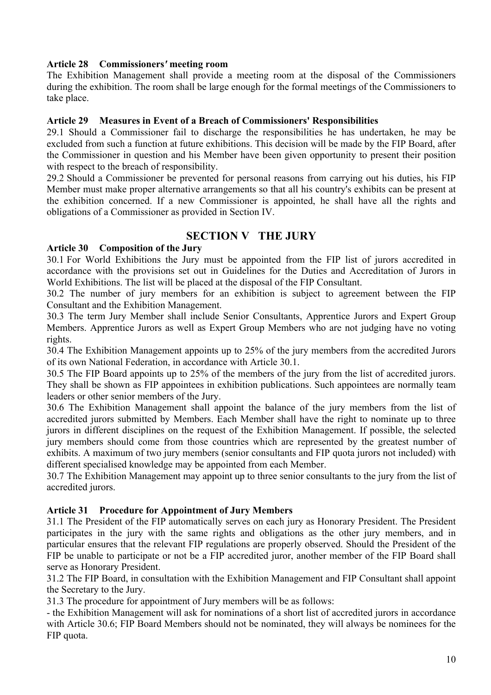## **Article 28 Commissioners***'* **meeting room**

The Exhibition Management shall provide a meeting room at the disposal of the Commissioners during the exhibition. The room shall be large enough for the formal meetings of the Commissioners to take place.

#### **Article 29 Measures in Event of a Breach of Commissioners' Responsibilities**

29.1 Should a Commissioner fail to discharge the responsibilities he has undertaken, he may be excluded from such a function at future exhibitions. This decision will be made by the FIP Board, after the Commissioner in question and his Member have been given opportunity to present their position with respect to the breach of responsibility.

29.2 Should a Commissioner be prevented for personal reasons from carrying out his duties, his FIP Member must make proper alternative arrangements so that all his country's exhibits can be present at the exhibition concerned. If a new Commissioner is appointed, he shall have all the rights and obligations of a Commissioner as provided in Section IV.

# **SECTION V THE JURY**

#### **Article 30 Composition of the Jury**

30.1 For World Exhibitions the Jury must be appointed from the FIP list of jurors accredited in accordance with the provisions set out in Guidelines for the Duties and Accreditation of Jurors in World Exhibitions. The list will be placed at the disposal of the FIP Consultant.

30.2 The number of jury members for an exhibition is subject to agreement between the FIP Consultant and the Exhibition Management.

30.3 The term Jury Member shall include Senior Consultants, Apprentice Jurors and Expert Group Members. Apprentice Jurors as well as Expert Group Members who are not judging have no voting rights.

30.4 The Exhibition Management appoints up to 25% of the jury members from the accredited Jurors of its own National Federation, in accordance with Article 30.1.

30.5 The FIP Board appoints up to 25% of the members of the jury from the list of accredited jurors. They shall be shown as FIP appointees in exhibition publications. Such appointees are normally team leaders or other senior members of the Jury.

30.6 The Exhibition Management shall appoint the balance of the jury members from the list of accredited jurors submitted by Members. Each Member shall have the right to nominate up to three jurors in different disciplines on the request of the Exhibition Management. If possible, the selected jury members should come from those countries which are represented by the greatest number of exhibits. A maximum of two jury members (senior consultants and FIP quota jurors not included) with different specialised knowledge may be appointed from each Member.

30.7 The Exhibition Management may appoint up to three senior consultants to the jury from the list of accredited jurors.

#### **Article 31 Procedure for Appointment of Jury Members**

31.1 The President of the FIP automatically serves on each jury as Honorary President. The President participates in the jury with the same rights and obligations as the other jury members, and in particular ensures that the relevant FIP regulations are properly observed. Should the President of the FIP be unable to participate or not be a FIP accredited juror, another member of the FIP Board shall serve as Honorary President.

31.2 The FIP Board, in consultation with the Exhibition Management and FIP Consultant shall appoint the Secretary to the Jury.

31.3 The procedure for appointment of Jury members will be as follows:

- the Exhibition Management will ask for nominations of a short list of accredited jurors in accordance with Article 30.6; FIP Board Members should not be nominated, they will always be nominees for the FIP quota.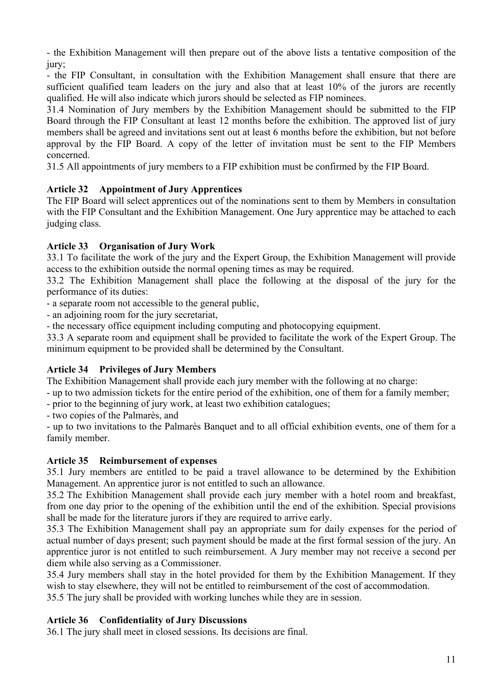- the Exhibition Management will then prepare out of the above lists a tentative composition of the jury;

- the FIP Consultant, in consultation with the Exhibition Management shall ensure that there are sufficient qualified team leaders on the jury and also that at least 10% of the jurors are recently qualified. He will also indicate which jurors should be selected as FIP nominees.

31.4 Nomination of Jury members by the Exhibition Management should be submitted to the FIP Board through the FIP Consultant at least 12 months before the exhibition. The approved list of jury members shall be agreed and invitations sent out at least 6 months before the exhibition, but not before approval by the FIP Board. A copy of the letter of invitation must be sent to the FIP Members concerned.

31.5 All appointments of jury members to a FIP exhibition must be confirmed by the FIP Board.

# **Article 32 Appointment of Jury Apprentices**

The FIP Board will select apprentices out of the nominations sent to them by Members in consultation with the FIP Consultant and the Exhibition Management. One Jury apprentice may be attached to each judging class.

# **Article 33 Organisation of Jury Work**

33.1 To facilitate the work of the jury and the Expert Group, the Exhibition Management will provide access to the exhibition outside the normal opening times as may be required.

33.2 The Exhibition Management shall place the following at the disposal of the jury for the performance of its duties:

- a separate room not accessible to the general public,

- an adjoining room for the jury secretariat,

- the necessary office equipment including computing and photocopying equipment.

33.3 A separate room and equipment shall be provided to facilitate the work of the Expert Group. The minimum equipment to be provided shall be determined by the Consultant.

# **Article 34 Privileges of Jury Members**

The Exhibition Management shall provide each jury member with the following at no charge:

- up to two admission tickets for the entire period of the exhibition, one of them for a family member;

- prior to the beginning of jury work, at least two exhibition catalogues;

- two copies of the Palmarès, and

- up to two invitations to the Palmarès Banquet and to all official exhibition events, one of them for a family member.

# **Article 35 Reimbursement of expenses**

35.1 Jury members are entitled to be paid a travel allowance to be determined by the Exhibition Management. An apprentice juror is not entitled to such an allowance.

35.2 The Exhibition Management shall provide each jury member with a hotel room and breakfast, from one day prior to the opening of the exhibition until the end of the exhibition. Special provisions shall be made for the literature jurors if they are required to arrive early.

35.3 The Exhibition Management shall pay an appropriate sum for daily expenses for the period of actual number of days present; such payment should be made at the first formal session of the jury. An apprentice juror is not entitled to such reimbursement. A Jury member may not receive a second per diem while also serving as a Commissioner.

35.4 Jury members shall stay in the hotel provided for them by the Exhibition Management. If they wish to stay elsewhere, they will not be entitled to reimbursement of the cost of accommodation.

35.5 The jury shall be provided with working lunches while they are in session.

# **Article 36 Confidentiality of Jury Discussions**

36.1 The jury shall meet in closed sessions. Its decisions are final.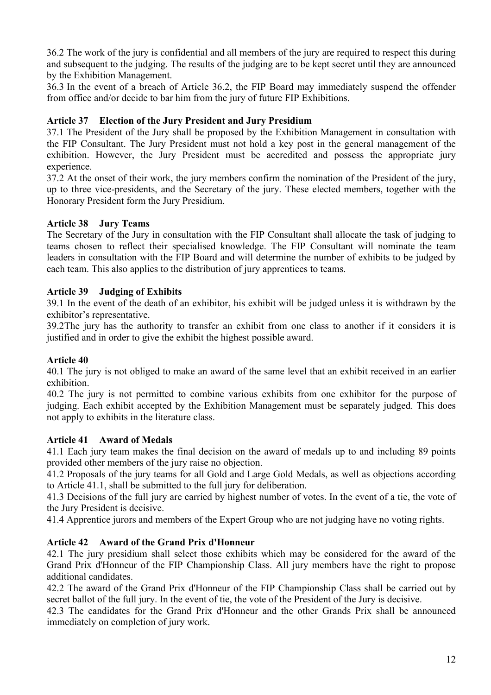36.2 The work of the jury is confidential and all members of the jury are required to respect this during and subsequent to the judging. The results of the judging are to be kept secret until they are announced by the Exhibition Management.

36.3 In the event of a breach of Article 36.2, the FIP Board may immediately suspend the offender from office and/or decide to bar him from the jury of future FIP Exhibitions.

# **Article 37 Election of the Jury President and Jury Presidium**

37.1 The President of the Jury shall be proposed by the Exhibition Management in consultation with the FIP Consultant. The Jury President must not hold a key post in the general management of the exhibition. However, the Jury President must be accredited and possess the appropriate jury experience.

37.2 At the onset of their work, the jury members confirm the nomination of the President of the jury, up to three vice-presidents, and the Secretary of the jury. These elected members, together with the Honorary President form the Jury Presidium.

## **Article 38 Jury Teams**

The Secretary of the Jury in consultation with the FIP Consultant shall allocate the task of judging to teams chosen to reflect their specialised knowledge. The FIP Consultant will nominate the team leaders in consultation with the FIP Board and will determine the number of exhibits to be judged by each team. This also applies to the distribution of jury apprentices to teams.

## **Article 39 Judging of Exhibits**

39.1 In the event of the death of an exhibitor, his exhibit will be judged unless it is withdrawn by the exhibitor's representative.

39.2The jury has the authority to transfer an exhibit from one class to another if it considers it is justified and in order to give the exhibit the highest possible award.

#### **Article 40**

40.1 The jury is not obliged to make an award of the same level that an exhibit received in an earlier exhibition.

40.2 The jury is not permitted to combine various exhibits from one exhibitor for the purpose of judging. Each exhibit accepted by the Exhibition Management must be separately judged. This does not apply to exhibits in the literature class.

# **Article 41 Award of Medals**

41.1 Each jury team makes the final decision on the award of medals up to and including 89 points provided other members of the jury raise no objection.

41.2 Proposals of the jury teams for all Gold and Large Gold Medals, as well as objections according to Article 41.1, shall be submitted to the full jury for deliberation.

41.3 Decisions of the full jury are carried by highest number of votes. In the event of a tie, the vote of the Jury President is decisive.

41.4 Apprentice jurors and members of the Expert Group who are not judging have no voting rights.

#### **Article 42 Award of the Grand Prix d'Honneur**

42.1 The jury presidium shall select those exhibits which may be considered for the award of the Grand Prix d'Honneur of the FIP Championship Class. All jury members have the right to propose additional candidates.

42.2 The award of the Grand Prix d'Honneur of the FIP Championship Class shall be carried out by secret ballot of the full jury. In the event of tie, the vote of the President of the Jury is decisive.

42.3 The candidates for the Grand Prix d'Honneur and the other Grands Prix shall be announced immediately on completion of jury work.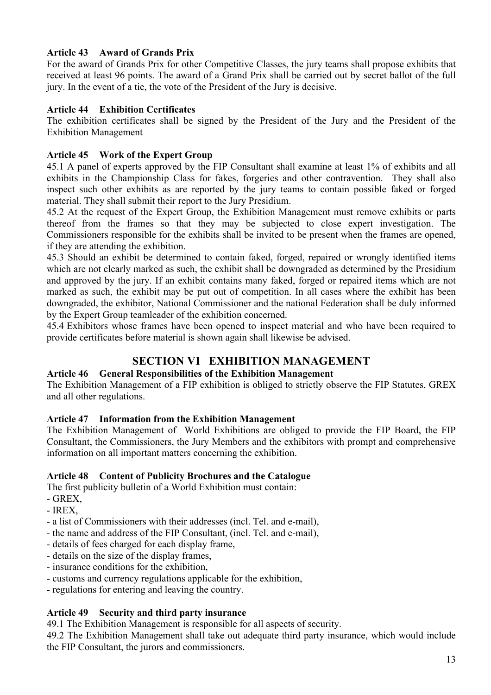# **Article 43 Award of Grands Prix**

For the award of Grands Prix for other Competitive Classes, the jury teams shall propose exhibits that received at least 96 points. The award of a Grand Prix shall be carried out by secret ballot of the full jury. In the event of a tie, the vote of the President of the Jury is decisive.

#### **Article 44 Exhibition Certificates**

The exhibition certificates shall be signed by the President of the Jury and the President of the Exhibition Management

## **Article 45 Work of the Expert Group**

45.1 A panel of experts approved by the FIP Consultant shall examine at least 1% of exhibits and all exhibits in the Championship Class for fakes, forgeries and other contravention. They shall also inspect such other exhibits as are reported by the jury teams to contain possible faked or forged material. They shall submit their report to the Jury Presidium.

45.2 At the request of the Expert Group, the Exhibition Management must remove exhibits or parts thereof from the frames so that they may be subjected to close expert investigation. The Commissioners responsible for the exhibits shall be invited to be present when the frames are opened, if they are attending the exhibition.

45.3 Should an exhibit be determined to contain faked, forged, repaired or wrongly identified items which are not clearly marked as such, the exhibit shall be downgraded as determined by the Presidium and approved by the jury. If an exhibit contains many faked, forged or repaired items which are not marked as such, the exhibit may be put out of competition. In all cases where the exhibit has been downgraded, the exhibitor, National Commissioner and the national Federation shall be duly informed by the Expert Group teamleader of the exhibition concerned.

45.4 Exhibitors whose frames have been opened to inspect material and who have been required to provide certificates before material is shown again shall likewise be advised.

# **SECTION VI EXHIBITION MANAGEMENT**

#### **Article 46 General Responsibilities of the Exhibition Management**

The Exhibition Management of a FIP exhibition is obliged to strictly observe the FIP Statutes, GREX and all other regulations.

## **Article 47 Information from the Exhibition Management**

The Exhibition Management of World Exhibitions are obliged to provide the FIP Board, the FIP Consultant, the Commissioners, the Jury Members and the exhibitors with prompt and comprehensive information on all important matters concerning the exhibition.

#### **Article 48 Content of Publicity Brochures and the Catalogue**

The first publicity bulletin of a World Exhibition must contain:

- $-$  GREX.
- IREX,
- a list of Commissioners with their addresses (incl. Tel. and e-mail),
- the name and address of the FIP Consultant, (incl. Tel. and e-mail),
- details of fees charged for each display frame,
- details on the size of the display frames,
- insurance conditions for the exhibition,
- customs and currency regulations applicable for the exhibition,
- regulations for entering and leaving the country.

#### **Article 49 Security and third party insurance**

49.1 The Exhibition Management is responsible for all aspects of security.

49.2 The Exhibition Management shall take out adequate third party insurance, which would include the FIP Consultant, the jurors and commissioners.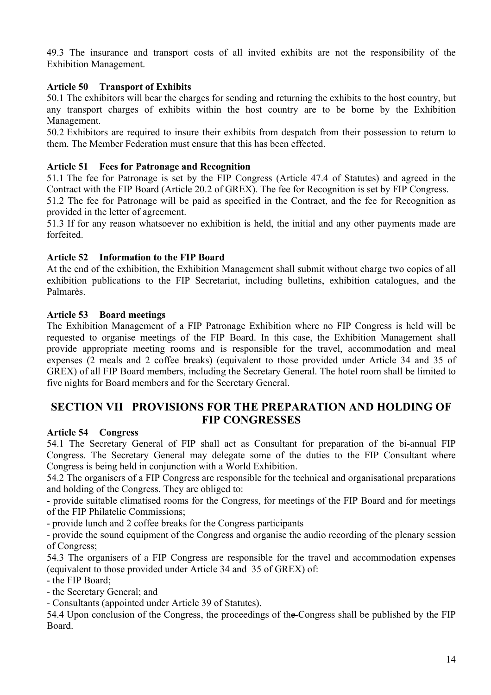49.3 The insurance and transport costs of all invited exhibits are not the responsibility of the Exhibition Management.

# **Article 50 Transport of Exhibits**

50.1 The exhibitors will bear the charges for sending and returning the exhibits to the host country, but any transport charges of exhibits within the host country are to be borne by the Exhibition Management.

50.2 Exhibitors are required to insure their exhibits from despatch from their possession to return to them. The Member Federation must ensure that this has been effected.

# **Article 51 Fees for Patronage and Recognition**

51.1 The fee for Patronage is set by the FIP Congress (Article 47.4 of Statutes) and agreed in the Contract with the FIP Board (Article 20.2 of GREX). The fee for Recognition is set by FIP Congress.

51.2 The fee for Patronage will be paid as specified in the Contract, and the fee for Recognition as provided in the letter of agreement.

51.3 If for any reason whatsoever no exhibition is held, the initial and any other payments made are forfeited.

# **Article 52 Information to the FIP Board**

At the end of the exhibition, the Exhibition Management shall submit without charge two copies of all exhibition publications to the FIP Secretariat, including bulletins, exhibition catalogues, and the Palmarès.

# **Article 53 Board meetings**

The Exhibition Management of a FIP Patronage Exhibition where no FIP Congress is held will be requested to organise meetings of the FIP Board. In this case, the Exhibition Management shall provide appropriate meeting rooms and is responsible for the travel, accommodation and meal expenses (2 meals and 2 coffee breaks) (equivalent to those provided under Article 34 and 35 of GREX) of all FIP Board members, including the Secretary General. The hotel room shall be limited to five nights for Board members and for the Secretary General.

# **SECTION VII PROVISIONS FOR THE PREPARATION AND HOLDING OF FIP CONGRESSES**

# **Article 54 Congress**

54.1 The Secretary General of FIP shall act as Consultant for preparation of the bi-annual FIP Congress. The Secretary General may delegate some of the duties to the FIP Consultant where Congress is being held in conjunction with a World Exhibition.

54.2 The organisers of a FIP Congress are responsible for the technical and organisational preparations and holding of the Congress. They are obliged to:

- provide suitable climatised rooms for the Congress, for meetings of the FIP Board and for meetings of the FIP Philatelic Commissions;

- provide lunch and 2 coffee breaks for the Congress participants

- provide the sound equipment of the Congress and organise the audio recording of the plenary session of Congress;

54.3 The organisers of a FIP Congress are responsible for the travel and accommodation expenses (equivalent to those provided under Article 34 and 35 of GREX) of:

- the FIP Board;

- the Secretary General; and

- Consultants (appointed under Article 39 of Statutes).

54.4 Upon conclusion of the Congress, the proceedings of the Congress shall be published by the FIP Board.